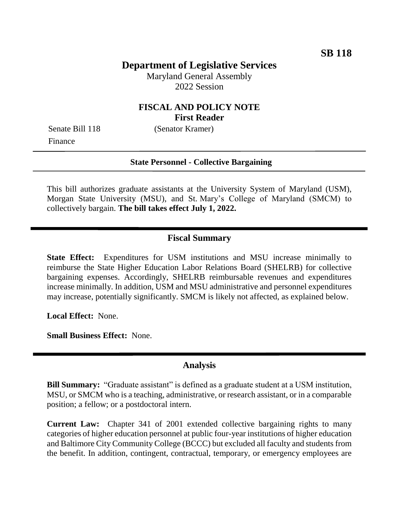# **Department of Legislative Services**

Maryland General Assembly 2022 Session

### **FISCAL AND POLICY NOTE First Reader**

Finance

Senate Bill 118 (Senator Kramer)

#### **State Personnel - Collective Bargaining**

This bill authorizes graduate assistants at the University System of Maryland (USM), Morgan State University (MSU), and St. Mary's College of Maryland (SMCM) to collectively bargain. **The bill takes effect July 1, 2022.**

### **Fiscal Summary**

**State Effect:** Expenditures for USM institutions and MSU increase minimally to reimburse the State Higher Education Labor Relations Board (SHELRB) for collective bargaining expenses. Accordingly, SHELRB reimbursable revenues and expenditures increase minimally. In addition, USM and MSU administrative and personnel expenditures may increase, potentially significantly. SMCM is likely not affected, as explained below.

**Local Effect:** None.

**Small Business Effect:** None.

### **Analysis**

**Bill Summary:** "Graduate assistant" is defined as a graduate student at a USM institution, MSU, or SMCM who is a teaching, administrative, or research assistant, or in a comparable position; a fellow; or a postdoctoral intern.

**Current Law:** Chapter 341 of 2001 extended collective bargaining rights to many categories of higher education personnel at public four-year institutions of higher education and Baltimore City Community College (BCCC) but excluded all faculty and students from the benefit. In addition, contingent, contractual, temporary, or emergency employees are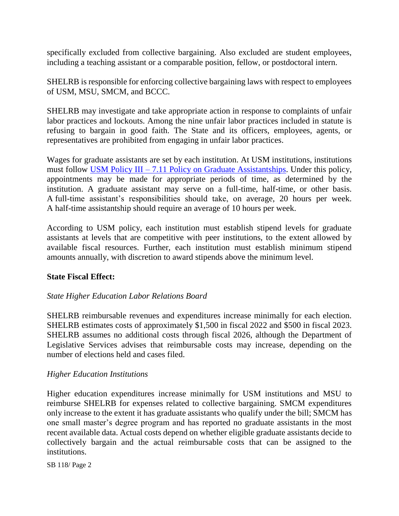specifically excluded from collective bargaining. Also excluded are student employees, including a teaching assistant or a comparable position, fellow, or postdoctoral intern.

SHELRB is responsible for enforcing collective bargaining laws with respect to employees of USM, MSU, SMCM, and BCCC.

SHELRB may investigate and take appropriate action in response to complaints of unfair labor practices and lockouts. Among the nine unfair labor practices included in statute is refusing to bargain in good faith. The State and its officers, employees, agents, or representatives are prohibited from engaging in unfair labor practices.

Wages for graduate assistants are set by each institution. At USM institutions, institutions must follow USM Policy III – [7.11 Policy on Graduate Assistantships.](https://www.usmd.edu/regents/bylaws/SectionIII/III711.pdf) Under this policy, appointments may be made for appropriate periods of time, as determined by the institution. A graduate assistant may serve on a full-time, half-time, or other basis. A full-time assistant's responsibilities should take, on average, 20 hours per week. A half-time assistantship should require an average of 10 hours per week.

According to USM policy, each institution must establish stipend levels for graduate assistants at levels that are competitive with peer institutions, to the extent allowed by available fiscal resources. Further, each institution must establish minimum stipend amounts annually, with discretion to award stipends above the minimum level.

### **State Fiscal Effect:**

### *State Higher Education Labor Relations Board*

SHELRB reimbursable revenues and expenditures increase minimally for each election. SHELRB estimates costs of approximately \$1,500 in fiscal 2022 and \$500 in fiscal 2023. SHELRB assumes no additional costs through fiscal 2026, although the Department of Legislative Services advises that reimbursable costs may increase, depending on the number of elections held and cases filed.

### *Higher Education Institutions*

Higher education expenditures increase minimally for USM institutions and MSU to reimburse SHELRB for expenses related to collective bargaining. SMCM expenditures only increase to the extent it has graduate assistants who qualify under the bill; SMCM has one small master's degree program and has reported no graduate assistants in the most recent available data. Actual costs depend on whether eligible graduate assistants decide to collectively bargain and the actual reimbursable costs that can be assigned to the institutions.

SB 118/ Page 2